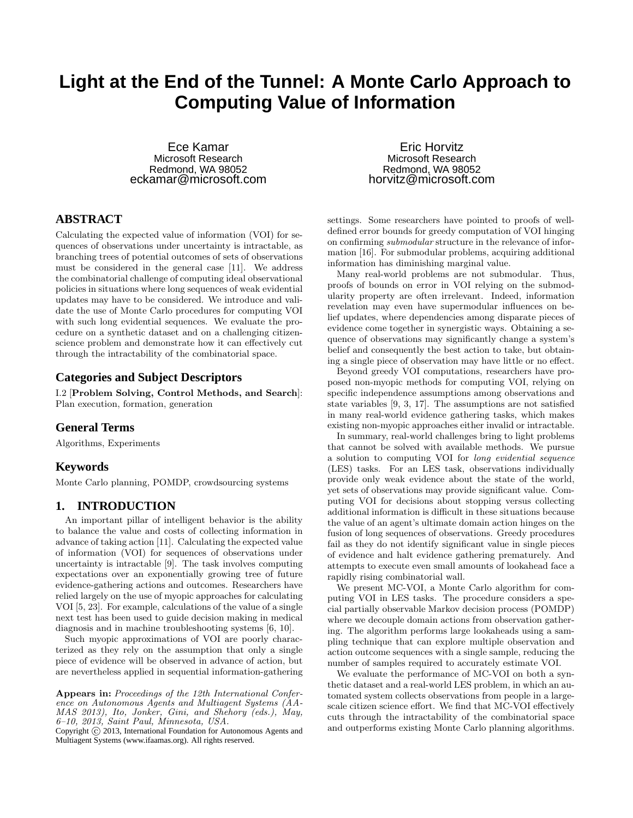# **Light at the End of the Tunnel: A Monte Carlo Approach to Computing Value of Information**

Ece Kamar Microsoft Research Redmond, WA 98052 eckamar@microsoft.com

# **ABSTRACT**

Calculating the expected value of information (VOI) for sequences of observations under uncertainty is intractable, as branching trees of potential outcomes of sets of observations must be considered in the general case [11]. We address the combinatorial challenge of computing ideal observational policies in situations where long sequences of weak evidential updates may have to be considered. We introduce and validate the use of Monte Carlo procedures for computing VOI with such long evidential sequences. We evaluate the procedure on a synthetic dataset and on a challenging citizenscience problem and demonstrate how it can effectively cut through the intractability of the combinatorial space.

# **Categories and Subject Descriptors**

I.2 [Problem Solving, Control Methods, and Search]: Plan execution, formation, generation

## **General Terms**

Algorithms, Experiments

## **Keywords**

Monte Carlo planning, POMDP, crowdsourcing systems

# **1. INTRODUCTION**

An important pillar of intelligent behavior is the ability to balance the value and costs of collecting information in advance of taking action [11]. Calculating the expected value of information (VOI) for sequences of observations under uncertainty is intractable [9]. The task involves computing expectations over an exponentially growing tree of future evidence-gathering actions and outcomes. Researchers have relied largely on the use of myopic approaches for calculating VOI [5, 23]. For example, calculations of the value of a single next test has been used to guide decision making in medical diagnosis and in machine troubleshooting systems [6, 10].

Such myopic approximations of VOI are poorly characterized as they rely on the assumption that only a single piece of evidence will be observed in advance of action, but are nevertheless applied in sequential information-gathering

Copyright  $\odot$  2013, International Foundation for Autonomous Agents and Multiagent Systems (www.ifaamas.org). All rights reserved.

Eric Horvitz Microsoft Research Redmond, WA 98052 horvitz@microsoft.com

settings. Some researchers have pointed to proofs of welldefined error bounds for greedy computation of VOI hinging on confirming submodular structure in the relevance of information [16]. For submodular problems, acquiring additional information has diminishing marginal value.

Many real-world problems are not submodular. Thus, proofs of bounds on error in VOI relying on the submodularity property are often irrelevant. Indeed, information revelation may even have supermodular influences on belief updates, where dependencies among disparate pieces of evidence come together in synergistic ways. Obtaining a sequence of observations may significantly change a system's belief and consequently the best action to take, but obtaining a single piece of observation may have little or no effect.

Beyond greedy VOI computations, researchers have proposed non-myopic methods for computing VOI, relying on specific independence assumptions among observations and state variables [9, 3, 17]. The assumptions are not satisfied in many real-world evidence gathering tasks, which makes existing non-myopic approaches either invalid or intractable.

In summary, real-world challenges bring to light problems that cannot be solved with available methods. We pursue a solution to computing VOI for long evidential sequence (LES) tasks. For an LES task, observations individually provide only weak evidence about the state of the world, yet sets of observations may provide significant value. Computing VOI for decisions about stopping versus collecting additional information is difficult in these situations because the value of an agent's ultimate domain action hinges on the fusion of long sequences of observations. Greedy procedures fail as they do not identify significant value in single pieces of evidence and halt evidence gathering prematurely. And attempts to execute even small amounts of lookahead face a rapidly rising combinatorial wall.

We present MC-VOI, a Monte Carlo algorithm for computing VOI in LES tasks. The procedure considers a special partially observable Markov decision process (POMDP) where we decouple domain actions from observation gathering. The algorithm performs large lookaheads using a sampling technique that can explore multiple observation and action outcome sequences with a single sample, reducing the number of samples required to accurately estimate VOI.

We evaluate the performance of MC-VOI on both a synthetic dataset and a real-world LES problem, in which an automated system collects observations from people in a largescale citizen science effort. We find that MC-VOI effectively cuts through the intractability of the combinatorial space and outperforms existing Monte Carlo planning algorithms.

Appears in: Proceedings of the 12th International Conference on Autonomous Agents and Multiagent Systems (AA-MAS 2013), Ito, Jonker, Gini, and Shehory (eds.), May, 6–10, 2013, Saint Paul, Minnesota, USA.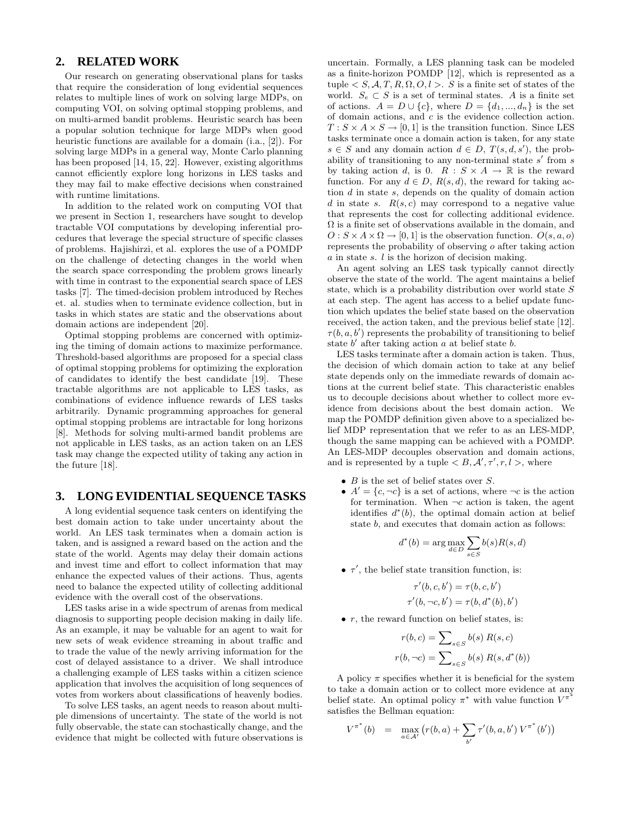# **2. RELATED WORK**

Our research on generating observational plans for tasks that require the consideration of long evidential sequences relates to multiple lines of work on solving large MDPs, on computing VOI, on solving optimal stopping problems, and on multi-armed bandit problems. Heuristic search has been a popular solution technique for large MDPs when good heuristic functions are available for a domain (i.a., [2]). For solving large MDPs in a general way, Monte Carlo planning has been proposed [14, 15, 22]. However, existing algorithms cannot efficiently explore long horizons in LES tasks and they may fail to make effective decisions when constrained with runtime limitations.

In addition to the related work on computing VOI that we present in Section 1, researchers have sought to develop tractable VOI computations by developing inferential procedures that leverage the special structure of specific classes of problems. Hajishirzi, et al. explores the use of a POMDP on the challenge of detecting changes in the world when the search space corresponding the problem grows linearly with time in contrast to the exponential search space of LES tasks [7]. The timed-decision problem introduced by Reches et. al. studies when to terminate evidence collection, but in tasks in which states are static and the observations about domain actions are independent [20].

Optimal stopping problems are concerned with optimizing the timing of domain actions to maximize performance. Threshold-based algorithms are proposed for a special class of optimal stopping problems for optimizing the exploration of candidates to identify the best candidate [19]. These tractable algorithms are not applicable to LES tasks, as combinations of evidence influence rewards of LES tasks arbitrarily. Dynamic programming approaches for general optimal stopping problems are intractable for long horizons [8]. Methods for solving multi-armed bandit problems are not applicable in LES tasks, as an action taken on an LES task may change the expected utility of taking any action in the future [18].

# **3. LONG EVIDENTIAL SEQUENCE TASKS**

A long evidential sequence task centers on identifying the best domain action to take under uncertainty about the world. An LES task terminates when a domain action is taken, and is assigned a reward based on the action and the state of the world. Agents may delay their domain actions and invest time and effort to collect information that may enhance the expected values of their actions. Thus, agents need to balance the expected utility of collecting additional evidence with the overall cost of the observations.

LES tasks arise in a wide spectrum of arenas from medical diagnosis to supporting people decision making in daily life. As an example, it may be valuable for an agent to wait for new sets of weak evidence streaming in about traffic and to trade the value of the newly arriving information for the cost of delayed assistance to a driver. We shall introduce a challenging example of LES tasks within a citizen science application that involves the acquisition of long sequences of votes from workers about classifications of heavenly bodies.

To solve LES tasks, an agent needs to reason about multiple dimensions of uncertainty. The state of the world is not fully observable, the state can stochastically change, and the evidence that might be collected with future observations is

uncertain. Formally, a LES planning task can be modeled as a finite-horizon POMDP [12], which is represented as a tuple  $\langle S, A, T, R, \Omega, O, l \rangle$ . S is a finite set of states of the world.  $S_e \subset S$  is a set of terminal states. A is a finite set of actions.  $A = D \cup \{c\}$ , where  $D = \{d_1, ..., d_n\}$  is the set of domain actions, and c is the evidence collection action.  $T : S \times A \times S \rightarrow [0, 1]$  is the transition function. Since LES tasks terminate once a domain action is taken, for any state  $s \in S$  and any domain action  $d \in D$ ,  $T(s, d, s')$ , the probability of transitioning to any non-terminal state  $s'$  from  $s$ by taking action d, is 0.  $R : S \times A \rightarrow \mathbb{R}$  is the reward function. For any  $d \in D$ ,  $R(s, d)$ , the reward for taking action d in state s, depends on the quality of domain action d in state s.  $R(s, c)$  may correspond to a negative value that represents the cost for collecting additional evidence.  $\Omega$  is a finite set of observations available in the domain, and  $O: S \times A \times \Omega \rightarrow [0, 1]$  is the observation function.  $O(s, a, o)$ represents the probability of observing o after taking action a in state s. l is the horizon of decision making.

An agent solving an LES task typically cannot directly observe the state of the world. The agent maintains a belief state, which is a probability distribution over world state  $S$ at each step. The agent has access to a belief update function which updates the belief state based on the observation received, the action taken, and the previous belief state [12].  $\tau(b, a, b')$  represents the probability of transitioning to belief state  $b'$  after taking action  $a$  at belief state  $b$ .

LES tasks terminate after a domain action is taken. Thus, the decision of which domain action to take at any belief state depends only on the immediate rewards of domain actions at the current belief state. This characteristic enables us to decouple decisions about whether to collect more evidence from decisions about the best domain action. We map the POMDP definition given above to a specialized belief MDP representation that we refer to as an LES-MDP, though the same mapping can be achieved with a POMDP. An LES-MDP decouples observation and domain actions, and is represented by a tuple  $\langle B, \mathcal{A}', \tau', r, l \rangle$ , where

- $\bullet$   $\,B$  is the set of belief states over  $S.$
- $A' = \{c, \neg c\}$  is a set of actions, where  $\neg c$  is the action for termination. When  $\neg c$  action is taken, the agent identifies  $d^*(b)$ , the optimal domain action at belief state b, and executes that domain action as follows:

$$
d^*(b) = \arg\max_{d \in D} \sum_{s \in S} b(s)R(s, d)
$$

•  $\tau'$ , the belief state transition function, is:

$$
\tau'(b, c, b') = \tau(b, c, b')
$$
  

$$
\tau'(b, \neg c, b') = \tau(b, d^*(b), b')
$$

 $\bullet$  r, the reward function on belief states, is:

$$
r(b, c) = \sum_{s \in S} b(s) R(s, c)
$$

$$
r(b, \neg c) = \sum_{s \in S} b(s) R(s, d^*(b))
$$

A policy  $\pi$  specifies whether it is beneficial for the system to take a domain action or to collect more evidence at any belief state. An optimal policy  $\pi^*$  with value function  $V^{\pi}$ satisfies the Bellman equation:

$$
V^{\pi^*}(b) = \max_{a \in \mathcal{A}'} (r(b, a) + \sum_{b'} \tau'(b, a, b') V^{\pi^*}(b'))
$$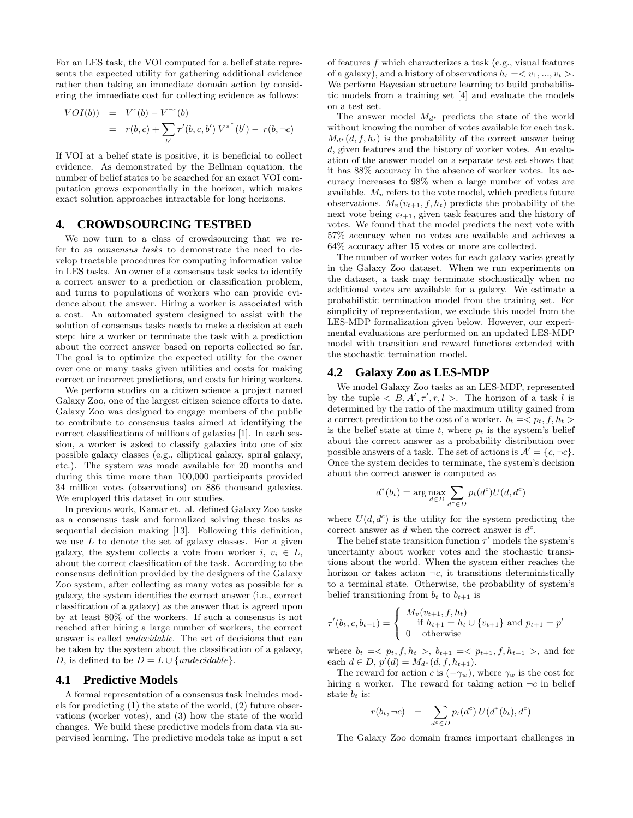For an LES task, the VOI computed for a belief state represents the expected utility for gathering additional evidence rather than taking an immediate domain action by considering the immediate cost for collecting evidence as follows:

$$
VOI(b)) = V^{c}(b) - V^{-c}(b)
$$
  
=  $r(b, c) + \sum_{b'} r'(b, c, b') V^{\pi^{*}}(b') - r(b, \neg c)$ 

If VOI at a belief state is positive, it is beneficial to collect evidence. As demonstrated by the Bellman equation, the number of belief states to be searched for an exact VOI computation grows exponentially in the horizon, which makes exact solution approaches intractable for long horizons.

# **4. CROWDSOURCING TESTBED**

We now turn to a class of crowdsourcing that we refer to as consensus tasks to demonstrate the need to develop tractable procedures for computing information value in LES tasks. An owner of a consensus task seeks to identify a correct answer to a prediction or classification problem, and turns to populations of workers who can provide evidence about the answer. Hiring a worker is associated with a cost. An automated system designed to assist with the solution of consensus tasks needs to make a decision at each step: hire a worker or terminate the task with a prediction about the correct answer based on reports collected so far. The goal is to optimize the expected utility for the owner over one or many tasks given utilities and costs for making correct or incorrect predictions, and costs for hiring workers.

We perform studies on a citizen science a project named Galaxy Zoo, one of the largest citizen science efforts to date. Galaxy Zoo was designed to engage members of the public to contribute to consensus tasks aimed at identifying the correct classifications of millions of galaxies [1]. In each session, a worker is asked to classify galaxies into one of six possible galaxy classes (e.g., elliptical galaxy, spiral galaxy, etc.). The system was made available for 20 months and during this time more than 100,000 participants provided 34 million votes (observations) on 886 thousand galaxies. We employed this dataset in our studies.

In previous work, Kamar et. al. defined Galaxy Zoo tasks as a consensus task and formalized solving these tasks as sequential decision making [13]. Following this definition, we use  $L$  to denote the set of galaxy classes. For a given galaxy, the system collects a vote from worker i,  $v_i \in L$ , about the correct classification of the task. According to the consensus definition provided by the designers of the Galaxy Zoo system, after collecting as many votes as possible for a galaxy, the system identifies the correct answer (i.e., correct classification of a galaxy) as the answer that is agreed upon by at least 80% of the workers. If such a consensus is not reached after hiring a large number of workers, the correct answer is called undecidable. The set of decisions that can be taken by the system about the classification of a galaxy, D, is defined to be  $D = L \cup \{undecidable\}.$ 

#### **4.1 Predictive Models**

A formal representation of a consensus task includes models for predicting (1) the state of the world, (2) future observations (worker votes), and (3) how the state of the world changes. We build these predictive models from data via supervised learning. The predictive models take as input a set of features f which characterizes a task (e.g., visual features of a galaxy), and a history of observations  $h_t = \langle v_1, ..., v_t \rangle$ . We perform Bayesian structure learning to build probabilistic models from a training set [4] and evaluate the models on a test set.

The answer model  $M_{d^*}$  predicts the state of the world without knowing the number of votes available for each task.  $M_{d^*}(d, f, h_t)$  is the probability of the correct answer being d, given features and the history of worker votes. An evaluation of the answer model on a separate test set shows that it has 88% accuracy in the absence of worker votes. Its accuracy increases to 98% when a large number of votes are available.  $M_v$  refers to the vote model, which predicts future observations.  $M_v(v_{t+1}, f, h_t)$  predicts the probability of the next vote being  $v_{t+1}$ , given task features and the history of votes. We found that the model predicts the next vote with 57% accuracy when no votes are available and achieves a 64% accuracy after 15 votes or more are collected.

The number of worker votes for each galaxy varies greatly in the Galaxy Zoo dataset. When we run experiments on the dataset, a task may terminate stochastically when no additional votes are available for a galaxy. We estimate a probabilistic termination model from the training set. For simplicity of representation, we exclude this model from the LES-MDP formalization given below. However, our experimental evaluations are performed on an updated LES-MDP model with transition and reward functions extended with the stochastic termination model.

#### **4.2 Galaxy Zoo as LES-MDP**

We model Galaxy Zoo tasks as an LES-MDP, represented by the tuple  $\langle B, A', \tau', r, l \rangle$ . The horizon of a task l is determined by the ratio of the maximum utility gained from a correct prediction to the cost of a worker.  $b_t = \langle p_t, f, h_t \rangle$ is the belief state at time t, where  $p_t$  is the system's belief about the correct answer as a probability distribution over possible answers of a task. The set of actions is  $\mathcal{A}' = \{c, \neg c\}.$ Once the system decides to terminate, the system's decision about the correct answer is computed as

$$
d^*(b_t) = \arg\max_{d \in D} \sum_{d^c \in D} p_t(d^c) U(d, d^c)
$$

where  $U(d, d^c)$  is the utility for the system predicting the correct answer as  $d$  when the correct answer is  $d^c$ .

The belief state transition function  $\tau'$  models the system's uncertainty about worker votes and the stochastic transitions about the world. When the system either reaches the horizon or takes action  $\neg c$ , it transitions deterministically to a terminal state. Otherwise, the probability of system's belief transitioning from  $b_t$  to  $b_{t+1}$  is

$$
\tau'(b_t, c, b_{t+1}) = \begin{cases} M_v(v_{t+1}, f, h_t) \\ \text{if } h_{t+1} = h_t \cup \{v_{t+1}\} \text{ and } p_{t+1} = p' \\ 0 \quad \text{otherwise} \end{cases}
$$

where  $b_t = \langle p_t, f, h_t \rangle, b_{t+1} = \langle p_{t+1}, f, h_{t+1} \rangle,$  and for each  $d \in D$ ,  $p'(d) = M_{d^*}(d, f, h_{t+1})$ .

The reward for action c is  $(-\gamma_w)$ , where  $\gamma_w$  is the cost for hiring a worker. The reward for taking action  $\neg c$  in belief state  $b_t$  is:

$$
r(b_t, \neg c) = \sum_{d^c \in D} p_t(d^c) U(d^*(b_t), d^c)
$$

The Galaxy Zoo domain frames important challenges in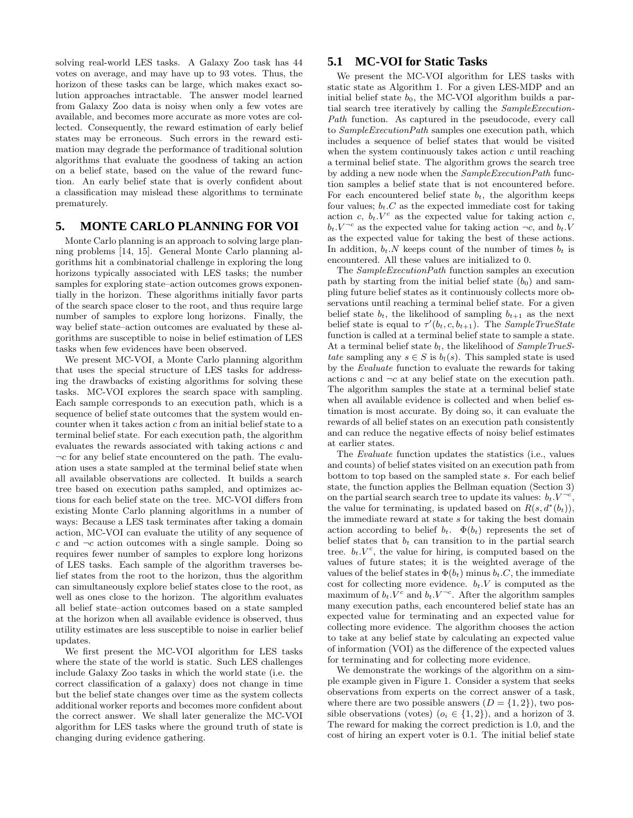solving real-world LES tasks. A Galaxy Zoo task has 44 votes on average, and may have up to 93 votes. Thus, the horizon of these tasks can be large, which makes exact solution approaches intractable. The answer model learned from Galaxy Zoo data is noisy when only a few votes are available, and becomes more accurate as more votes are collected. Consequently, the reward estimation of early belief states may be erroneous. Such errors in the reward estimation may degrade the performance of traditional solution algorithms that evaluate the goodness of taking an action on a belief state, based on the value of the reward function. An early belief state that is overly confident about a classification may mislead these algorithms to terminate prematurely.

# **5. MONTE CARLO PLANNING FOR VOI**

Monte Carlo planning is an approach to solving large planning problems [14, 15]. General Monte Carlo planning algorithms hit a combinatorial challenge in exploring the long horizons typically associated with LES tasks; the number samples for exploring state–action outcomes grows exponentially in the horizon. These algorithms initially favor parts of the search space closer to the root, and thus require large number of samples to explore long horizons. Finally, the way belief state–action outcomes are evaluated by these algorithms are susceptible to noise in belief estimation of LES tasks when few evidences have been observed.

We present MC-VOI, a Monte Carlo planning algorithm that uses the special structure of LES tasks for addressing the drawbacks of existing algorithms for solving these tasks. MC-VOI explores the search space with sampling. Each sample corresponds to an execution path, which is a sequence of belief state outcomes that the system would encounter when it takes action c from an initial belief state to a terminal belief state. For each execution path, the algorithm evaluates the rewards associated with taking actions c and  $\neg c$  for any belief state encountered on the path. The evaluation uses a state sampled at the terminal belief state when all available observations are collected. It builds a search tree based on execution paths sampled, and optimizes actions for each belief state on the tree. MC-VOI differs from existing Monte Carlo planning algorithms in a number of ways: Because a LES task terminates after taking a domain action, MC-VOI can evaluate the utility of any sequence of  $c$  and  $\neg c$  action outcomes with a single sample. Doing so requires fewer number of samples to explore long horizons of LES tasks. Each sample of the algorithm traverses belief states from the root to the horizon, thus the algorithm can simultaneously explore belief states close to the root, as well as ones close to the horizon. The algorithm evaluates all belief state–action outcomes based on a state sampled at the horizon when all available evidence is observed, thus utility estimates are less susceptible to noise in earlier belief updates.

We first present the MC-VOI algorithm for LES tasks where the state of the world is static. Such LES challenges include Galaxy Zoo tasks in which the world state (i.e. the correct classification of a galaxy) does not change in time but the belief state changes over time as the system collects additional worker reports and becomes more confident about the correct answer. We shall later generalize the MC-VOI algorithm for LES tasks where the ground truth of state is changing during evidence gathering.

# **5.1 MC-VOI for Static Tasks**

We present the MC-VOI algorithm for LES tasks with static state as Algorithm 1. For a given LES-MDP and an initial belief state  $b_0$ , the MC-VOI algorithm builds a partial search tree iteratively by calling the SampleExecution-Path function. As captured in the pseudocode, every call to SampleExecutionPath samples one execution path, which includes a sequence of belief states that would be visited when the system continuously takes action  $c$  until reaching a terminal belief state. The algorithm grows the search tree by adding a new node when the SampleExecutionPath function samples a belief state that is not encountered before. For each encountered belief state  $b_t$ , the algorithm keeps four values;  $b_t.C$  as the expected immediate cost for taking action c,  $b_t$ .  $V^c$  as the expected value for taking action c,  $b_t \, V^{-c}$  as the expected value for taking action  $\neg c$ , and  $b_t \, V$ as the expected value for taking the best of these actions. In addition,  $b_t$ . N keeps count of the number of times  $b_t$  is encountered. All these values are initialized to 0.

The SampleExecutionPath function samples an execution path by starting from the initial belief state  $(b_0)$  and sampling future belief states as it continuously collects more observations until reaching a terminal belief state. For a given belief state  $b_t$ , the likelihood of sampling  $b_{t+1}$  as the next belief state is equal to  $\tau'(b_t, c, b_{t+1})$ . The SampleTrueState function is called at a terminal belief state to sample a state. At a terminal belief state  $b_l$ , the likelihood of  $SampleTrueS$ tate sampling any  $s \in S$  is  $b_l(s)$ . This sampled state is used by the Evaluate function to evaluate the rewards for taking actions c and  $\neg c$  at any belief state on the execution path. The algorithm samples the state at a terminal belief state when all available evidence is collected and when belief estimation is most accurate. By doing so, it can evaluate the rewards of all belief states on an execution path consistently and can reduce the negative effects of noisy belief estimates at earlier states.

The Evaluate function updates the statistics (i.e., values and counts) of belief states visited on an execution path from bottom to top based on the sampled state s. For each belief state, the function applies the Bellman equation (Section 3) on the partial search search tree to update its values:  $b_t \cdot V^{-c}$ , the value for terminating, is updated based on  $R(s, d^*(b_t)),$ the immediate reward at state s for taking the best domain action according to belief  $b_t$ .  $\Phi(b_t)$  represents the set of belief states that  $b_t$  can transition to in the partial search tree.  $b_t.V^c$ , the value for hiring, is computed based on the values of future states; it is the weighted average of the values of the belief states in  $\Phi(b_t)$  minus  $b_t.C$ , the immediate cost for collecting more evidence.  $b_t$ . V is computed as the maximum of  $b_t$ .  $V^c$  and  $b_t$ .  $V^{-c}$ . After the algorithm samples many execution paths, each encountered belief state has an expected value for terminating and an expected value for collecting more evidence. The algorithm chooses the action to take at any belief state by calculating an expected value of information (VOI) as the difference of the expected values for terminating and for collecting more evidence.

We demonstrate the workings of the algorithm on a simple example given in Figure 1. Consider a system that seeks observations from experts on the correct answer of a task, where there are two possible answers  $(D = \{1, 2\})$ , two possible observations (votes)  $(o_i \in \{1,2\})$ , and a horizon of 3. The reward for making the correct prediction is 1.0, and the cost of hiring an expert voter is 0.1. The initial belief state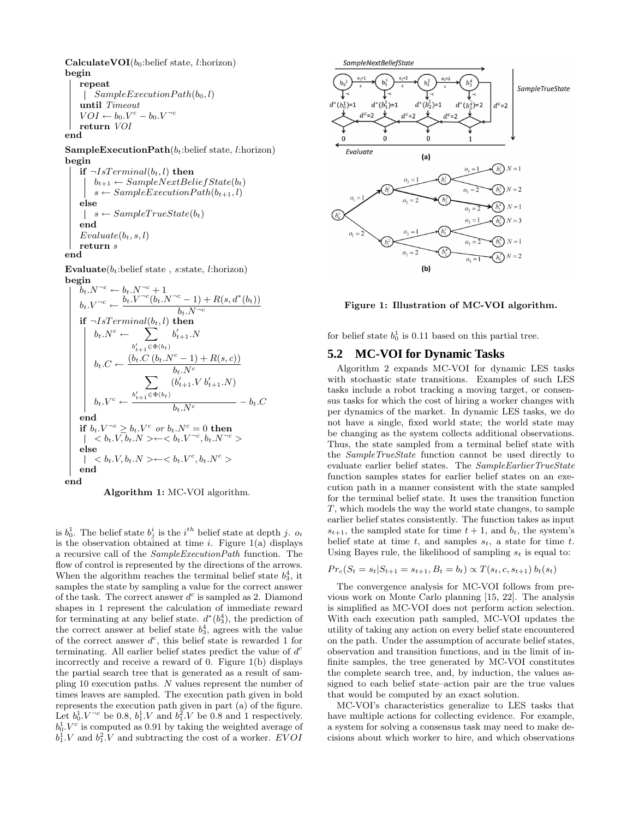CalculateVOI( $b_0$ :belief state, l:horizon) begin

repeat  $\vert$  SampleExecutionPath $(b_0, l)$ until Timeout  $VOI \leftarrow b_0.V^c - b_0.V^{-c}$ return VOI end

SampleExecutionPath $(b_t:$ belief state, l:horizon) begin

if  $\neg IsTerminal(b_t, l)$  then  $b_{t+1} \leftarrow SampleNextBeliefState(b_t)$  $s \leftarrow SampleExecutionPath(b_{t+1}, l)$ else  $s \leftarrow SampleTrueState(b_t)$  $\mathbb{R}$ end  $Evaluate(b_t, s, l)$ return s end

Evaluate $(b_t:$ belief state, s:state, l:horizon) begin

bt.N <sup>¬</sup><sup>c</sup> ← bt.N <sup>¬</sup><sup>c</sup> + 1 bt.V <sup>¬</sup><sup>c</sup> ← bt.V <sup>¬</sup><sup>c</sup> (bt.N <sup>¬</sup><sup>c</sup> − 1) + R(s, d<sup>∗</sup> (bt)) bt.N <sup>¬</sup><sup>c</sup> if ¬IsTerminal(bt, l) then bt.N<sup>c</sup> ← X b ′ <sup>t</sup>+1∈Φ(bt) b ′ <sup>t</sup>+1.N bt.C ← (bt.C (bt.N<sup>c</sup> − 1) + R(s, c)) bt.N<sup>c</sup> bt.V <sup>c</sup> ← X b ′ <sup>t</sup>+1∈Φ(bt) (b ′ t+1.V b′ <sup>t</sup>+1.N) <sup>b</sup>t.N<sup>c</sup> <sup>−</sup> <sup>b</sup>t.C end if bt.V <sup>¬</sup><sup>c</sup> ≥ bt.V <sup>c</sup> or bt.N<sup>c</sup> = 0 then < bt.V, bt.N >←< bt.V <sup>¬</sup><sup>c</sup> , bt.N <sup>¬</sup><sup>c</sup> > else < bt.V, bt.N >←< bt.V <sup>c</sup> , bt.N<sup>c</sup> > end





is  $b_0^1$ . The belief state  $b_j^i$  is the *i*<sup>th</sup> belief state at depth *j*.  $o_i$ is the observation obtained at time *i*. Figure  $1(a)$  displays a recursive call of the SampleExecutionPath function. The flow of control is represented by the directions of the arrows. When the algorithm reaches the terminal belief state  $b_3^4$ , it samples the state by sampling a value for the correct answer of the task. The correct answer  $d^c$  is sampled as 2. Diamond shapes in 1 represent the calculation of immediate reward for terminating at any belief state.  $d^*(b_3^4)$ , the prediction of the correct answer at belief state  $b_3^4$ , agrees with the value of the correct answer  $d^c$ , this belief state is rewarded 1 for terminating. All earlier belief states predict the value of  $d^c$ incorrectly and receive a reward of 0. Figure 1(b) displays the partial search tree that is generated as a result of sampling 10 execution paths. N values represent the number of times leaves are sampled. The execution path given in bold represents the execution path given in part (a) of the figure. Let  $b_0^1 \, V^{-c}$  be 0.8,  $b_1^1 \, V$  and  $b_1^2 \, V$  be 0.8 and 1 respectively.  $b_0^1.V^c$  is computed as 0.91 by taking the weighted average of  $b_1^1.V$  and  $b_1^2.V$  and subtracting the cost of a worker. EVOI



Figure 1: Illustration of MC-VOI algorithm.

for belief state  $b_0^1$  is 0.11 based on this partial tree.

# **5.2 MC-VOI for Dynamic Tasks**

Algorithm 2 expands MC-VOI for dynamic LES tasks with stochastic state transitions. Examples of such LES tasks include a robot tracking a moving target, or consensus tasks for which the cost of hiring a worker changes with per dynamics of the market. In dynamic LES tasks, we do not have a single, fixed world state; the world state may be changing as the system collects additional observations. Thus, the state sampled from a terminal belief state with the SampleTrueState function cannot be used directly to evaluate earlier belief states. The SampleEarlierTrueState function samples states for earlier belief states on an execution path in a manner consistent with the state sampled for the terminal belief state. It uses the transition function T, which models the way the world state changes, to sample earlier belief states consistently. The function takes as input  $s_{t+1}$ , the sampled state for time  $t + 1$ , and  $b_t$ , the system's belief state at time t, and samples  $s_t$ , a state for time t. Using Bayes rule, the likelihood of sampling  $s_t$  is equal to:

$$
Pr_c(S_t = s_t | S_{t+1} = s_{t+1}, B_t = b_t) \propto T(s_t, c, s_{t+1}) b_t(s_t)
$$

The convergence analysis for MC-VOI follows from previous work on Monte Carlo planning [15, 22]. The analysis is simplified as MC-VOI does not perform action selection. With each execution path sampled, MC-VOI updates the utility of taking any action on every belief state encountered on the path. Under the assumption of accurate belief states, observation and transition functions, and in the limit of infinite samples, the tree generated by MC-VOI constitutes the complete search tree, and, by induction, the values assigned to each belief state–action pair are the true values that would be computed by an exact solution.

MC-VOI's characteristics generalize to LES tasks that have multiple actions for collecting evidence. For example, a system for solving a consensus task may need to make decisions about which worker to hire, and which observations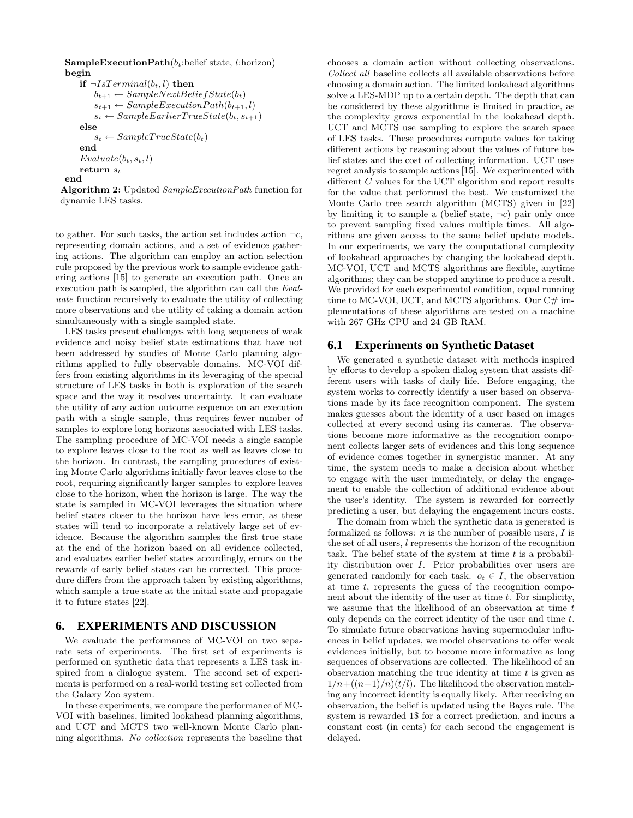```
SampleExecutionPath(b_t:belief state, l:horizon)
begin
```

```
if \neg IsTerminal(b_t, l) then
        b_{t+1} \leftarrow SampleNextBeliefState(b_t)s_{t+1} \leftarrow SampleExecutionPath(b_{t+1}, l)s_t \leftarrow SampleEarlierTrueState(b_t, s_{t+1})else
    \vert s_t \leftarrow SampleTrueState(b_t)end
    Evaluate(b_t, s_t, l)return s_tend
```


to gather. For such tasks, the action set includes action  $\neg c$ , representing domain actions, and a set of evidence gathering actions. The algorithm can employ an action selection rule proposed by the previous work to sample evidence gathering actions [15] to generate an execution path. Once an execution path is sampled, the algorithm can call the Evaluate function recursively to evaluate the utility of collecting more observations and the utility of taking a domain action simultaneously with a single sampled state.

LES tasks present challenges with long sequences of weak evidence and noisy belief state estimations that have not been addressed by studies of Monte Carlo planning algorithms applied to fully observable domains. MC-VOI differs from existing algorithms in its leveraging of the special structure of LES tasks in both is exploration of the search space and the way it resolves uncertainty. It can evaluate the utility of any action outcome sequence on an execution path with a single sample, thus requires fewer number of samples to explore long horizons associated with LES tasks. The sampling procedure of MC-VOI needs a single sample to explore leaves close to the root as well as leaves close to the horizon. In contrast, the sampling procedures of existing Monte Carlo algorithms initially favor leaves close to the root, requiring significantly larger samples to explore leaves close to the horizon, when the horizon is large. The way the state is sampled in MC-VOI leverages the situation where belief states closer to the horizon have less error, as these states will tend to incorporate a relatively large set of evidence. Because the algorithm samples the first true state at the end of the horizon based on all evidence collected, and evaluates earlier belief states accordingly, errors on the rewards of early belief states can be corrected. This procedure differs from the approach taken by existing algorithms, which sample a true state at the initial state and propagate it to future states [22].

# **6. EXPERIMENTS AND DISCUSSION**

We evaluate the performance of MC-VOI on two separate sets of experiments. The first set of experiments is performed on synthetic data that represents a LES task inspired from a dialogue system. The second set of experiments is performed on a real-world testing set collected from the Galaxy Zoo system.

In these experiments, we compare the performance of MC-VOI with baselines, limited lookahead planning algorithms, and UCT and MCTS–two well-known Monte Carlo planning algorithms. No collection represents the baseline that chooses a domain action without collecting observations. Collect all baseline collects all available observations before choosing a domain action. The limited lookahead algorithms solve a LES-MDP up to a certain depth. The depth that can be considered by these algorithms is limited in practice, as the complexity grows exponential in the lookahead depth. UCT and MCTS use sampling to explore the search space of LES tasks. These procedures compute values for taking different actions by reasoning about the values of future belief states and the cost of collecting information. UCT uses regret analysis to sample actions [15]. We experimented with different C values for the UCT algorithm and report results for the value that performed the best. We customized the Monte Carlo tree search algorithm (MCTS) given in [22] by limiting it to sample a (belief state,  $\neg c$ ) pair only once to prevent sampling fixed values multiple times. All algorithms are given access to the same belief update models. In our experiments, we vary the computational complexity of lookahead approaches by changing the lookahead depth. MC-VOI, UCT and MCTS algorithms are flexible, anytime algorithms; they can be stopped anytime to produce a result. We provided for each experimental condition, equal running time to MC-VOI, UCT, and MCTS algorithms. Our  $C#$  implementations of these algorithms are tested on a machine with 267 GHz CPU and 24 GB RAM.

# **6.1 Experiments on Synthetic Dataset**

We generated a synthetic dataset with methods inspired by efforts to develop a spoken dialog system that assists different users with tasks of daily life. Before engaging, the system works to correctly identify a user based on observations made by its face recognition component. The system makes guesses about the identity of a user based on images collected at every second using its cameras. The observations become more informative as the recognition component collects larger sets of evidences and this long sequence of evidence comes together in synergistic manner. At any time, the system needs to make a decision about whether to engage with the user immediately, or delay the engagement to enable the collection of additional evidence about the user's identity. The system is rewarded for correctly predicting a user, but delaying the engagement incurs costs.

The domain from which the synthetic data is generated is formalized as follows:  $n$  is the number of possible users,  $I$  is the set of all users, l represents the horizon of the recognition task. The belief state of the system at time  $t$  is a probability distribution over I. Prior probabilities over users are generated randomly for each task.  $o_t \in I$ , the observation at time t, represents the guess of the recognition component about the identity of the user at time  $t$ . For simplicity, we assume that the likelihood of an observation at time t only depends on the correct identity of the user and time t. To simulate future observations having supermodular influences in belief updates, we model observations to offer weak evidences initially, but to become more informative as long sequences of observations are collected. The likelihood of an observation matching the true identity at time  $t$  is given as  $1/n+((n-1)/n)(t/l)$ . The likelihood the observation matching any incorrect identity is equally likely. After receiving an observation, the belief is updated using the Bayes rule. The system is rewarded 1\$ for a correct prediction, and incurs a constant cost (in cents) for each second the engagement is delayed.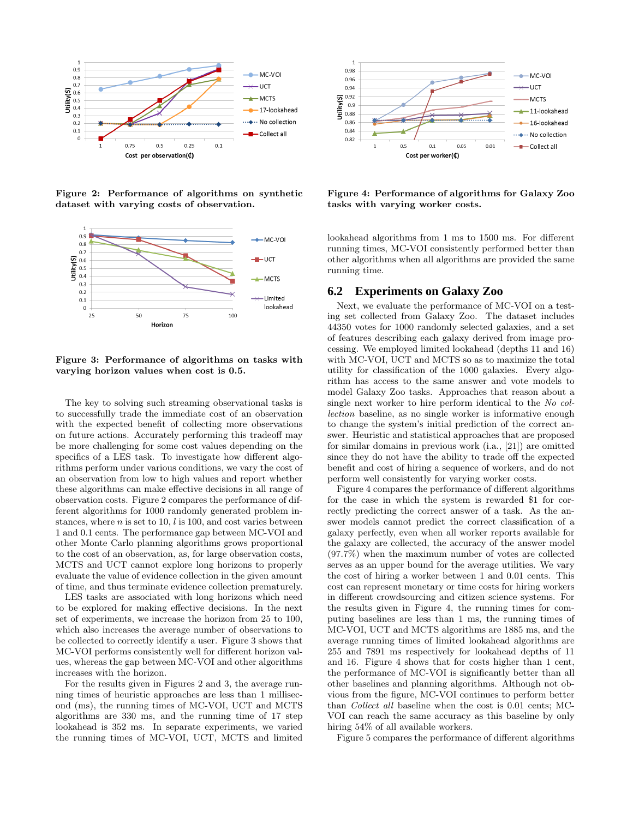

Figure 2: Performance of algorithms on synthetic dataset with varying costs of observation.



Figure 3: Performance of algorithms on tasks with varying horizon values when cost is 0.5.

The key to solving such streaming observational tasks is to successfully trade the immediate cost of an observation with the expected benefit of collecting more observations on future actions. Accurately performing this tradeoff may be more challenging for some cost values depending on the specifics of a LES task. To investigate how different algorithms perform under various conditions, we vary the cost of an observation from low to high values and report whether these algorithms can make effective decisions in all range of observation costs. Figure 2 compares the performance of different algorithms for 1000 randomly generated problem instances, where  $n$  is set to 10,  $l$  is 100, and cost varies between 1 and 0.1 cents. The performance gap between MC-VOI and other Monte Carlo planning algorithms grows proportional to the cost of an observation, as, for large observation costs, MCTS and UCT cannot explore long horizons to properly evaluate the value of evidence collection in the given amount of time, and thus terminate evidence collection prematurely.

LES tasks are associated with long horizons which need to be explored for making effective decisions. In the next set of experiments, we increase the horizon from 25 to 100, which also increases the average number of observations to be collected to correctly identify a user. Figure 3 shows that MC-VOI performs consistently well for different horizon values, whereas the gap between MC-VOI and other algorithms increases with the horizon.

For the results given in Figures 2 and 3, the average running times of heuristic approaches are less than 1 millisecond (ms), the running times of MC-VOI, UCT and MCTS algorithms are 330 ms, and the running time of 17 step lookahead is 352 ms. In separate experiments, we varied the running times of MC-VOI, UCT, MCTS and limited



Figure 4: Performance of algorithms for Galaxy Zoo tasks with varying worker costs.

lookahead algorithms from 1 ms to 1500 ms. For different running times, MC-VOI consistently performed better than other algorithms when all algorithms are provided the same running time.

# **6.2 Experiments on Galaxy Zoo**

Next, we evaluate the performance of MC-VOI on a testing set collected from Galaxy Zoo. The dataset includes 44350 votes for 1000 randomly selected galaxies, and a set of features describing each galaxy derived from image processing. We employed limited lookahead (depths 11 and 16) with MC-VOI, UCT and MCTS so as to maximize the total utility for classification of the 1000 galaxies. Every algorithm has access to the same answer and vote models to model Galaxy Zoo tasks. Approaches that reason about a single next worker to hire perform identical to the No collection baseline, as no single worker is informative enough to change the system's initial prediction of the correct answer. Heuristic and statistical approaches that are proposed for similar domains in previous work (i.a., [21]) are omitted since they do not have the ability to trade off the expected benefit and cost of hiring a sequence of workers, and do not perform well consistently for varying worker costs.

Figure 4 compares the performance of different algorithms for the case in which the system is rewarded \$1 for correctly predicting the correct answer of a task. As the answer models cannot predict the correct classification of a galaxy perfectly, even when all worker reports available for the galaxy are collected, the accuracy of the answer model (97.7%) when the maximum number of votes are collected serves as an upper bound for the average utilities. We vary the cost of hiring a worker between 1 and 0.01 cents. This cost can represent monetary or time costs for hiring workers in different crowdsourcing and citizen science systems. For the results given in Figure 4, the running times for computing baselines are less than 1 ms, the running times of MC-VOI, UCT and MCTS algorithms are 1885 ms, and the average running times of limited lookahead algorithms are 255 and 7891 ms respectively for lookahead depths of 11 and 16. Figure 4 shows that for costs higher than 1 cent, the performance of MC-VOI is significantly better than all other baselines and planning algorithms. Although not obvious from the figure, MC-VOI continues to perform better than Collect all baseline when the cost is 0.01 cents; MC-VOI can reach the same accuracy as this baseline by only hiring  $54\%$  of all available workers.

Figure 5 compares the performance of different algorithms